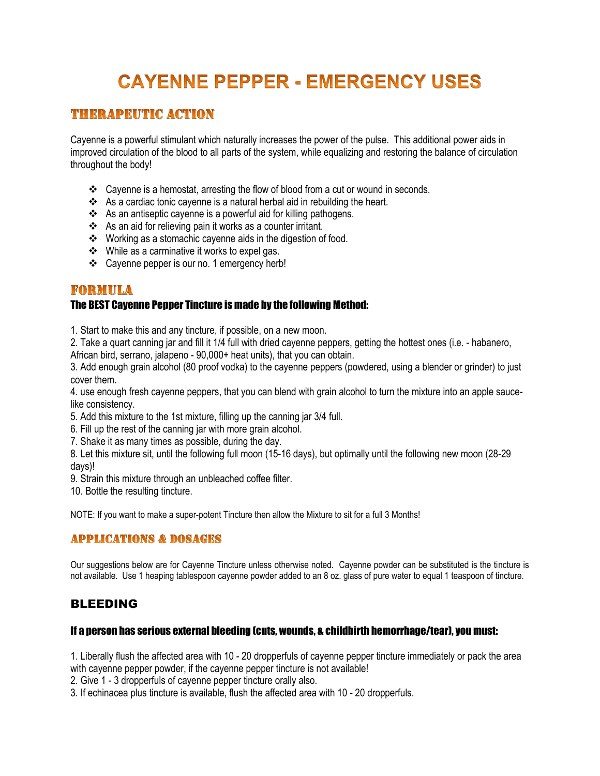# **CAYENNE PEPPER - EMERGENCY USES**

# **THERAPEUTIC ACTION**

Cayenne is a powerful stimulant which naturally increases the power of the pulse. This additional power aids in improved circulation of the blood to all parts of the system, while equalizing and restoring the balance of circulation throughout the body!

- \* Cayenne is a hemostat, arresting the flow of blood from a cut or wound in seconds.
- $\clubsuit$  As a cardiac tonic cayenne is a natural herbal aid in rebuilding the heart.
- As an antiseptic cayenne is a powerful aid for killing pathogens.
- As an aid for relieving pain it works as a counter irritant.
- Working as a stomachic cayenne aids in the digestion of food.
- While as a carminative it works to expel gas.
- Cayenne pepper is our no. 1 emergency herb!

## FORMULA

#### The BEST Cayenne Pepper Tincture is made by the following Method:

1. Start to make this and any tincture, if possible, on a new moon.

2. Take a quart canning jar and fill it 1/4 full with dried cayenne peppers, getting the hottest ones (i.e. - habanero, African bird, serrano, jalapeno - 90,000+ heat units), that you can obtain.

3. Add enough grain alcohol (80 proof vodka) to the cayenne peppers (powdered, using a blender or grinder) to just cover them.

4. use enough fresh cayenne peppers, that you can blend with grain alcohol to turn the mixture into an apple saucelike consistency.

5. Add this mixture to the 1st mixture, filling up the canning jar 3/4 full.

6. Fill up the rest of the canning jar with more grain alcohol.

7. Shake it as many times as possible, during the day.

8. Let this mixture sit, until the following full moon (15-16 days), but optimally until the following new moon (28-29 days)!

9. Strain this mixture through an unbleached coffee filter.

10. Bottle the resulting tincture.

NOTE: If you want to make a super-potent Tincture then allow the Mixture to sit for a full 3 Months!

## **APPLICATIONS & DOSAGES**

Our suggestions below are for Cayenne Tincture unless otherwise noted. Cayenne powder can be substituted is the tincture is not available. Use 1 heaping tablespoon cayenne powder added to an 8 oz. glass of pure water to equal 1 teaspoon of tincture.

## BLEEDING

#### If a person has serious external bleeding (cuts, wounds, & childbirth hemorrhage/tear), you must:

1. Liberally flush the affected area with 10 - 20 dropperfuls of cayenne pepper tincture immediately or pack the area with cayenne pepper powder, if the cayenne pepper tincture is not available!

2. Give 1 - 3 dropperfuls of cayenne pepper tincture orally also.

3. If echinacea plus tincture is available, flush the affected area with 10 - 20 dropperfuls.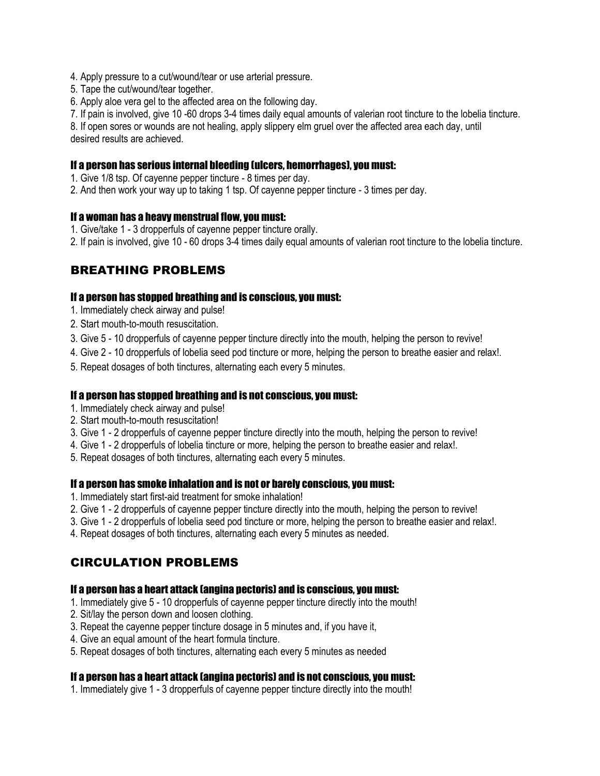- 4. Apply pressure to a cut/wound/tear or use arterial pressure.
- 5. Tape the cut/wound/tear together.
- 6. Apply [aloe vera gel](http://healingtools.tripod.com/thns7a.html#aloegel) to the affected area on the following day.

7. If pain is involved, give 10 -60 drops 3-4 times daily equal amounts of valerian root tincture to the lobelia tincture.

8. If open sores or wounds are not healing, apply slippery elm gruel over the affected area each day, until desired results are achieved.

#### If a person has serious internal bleeding (ulcers, hemorrhages), you must:

- 1. Give 1/8 tsp. Of cayenne pepper tincture 8 times per day.
- 2. And then work your way up to taking 1 tsp. Of cayenne pepper tincture 3 times per day.

#### If a woman has a heavy menstrual flow, you must:

- 1. Give/take 1 3 dropperfuls of cayenne pepper tincture orally.
- 2. If pain is involved, give 10 60 drops 3-4 times daily equal amounts of valerian root tincture to the lobelia tincture.

## BREATHING PROBLEMS

#### If a person has stopped breathing and is conscious, you must:

- 1. Immediately check airway and pulse!
- 2. Start mouth-to-mouth resuscitation.
- 3. Give 5 10 dropperfuls of cayenne pepper tincture directly into the mouth, helping the person to revive!
- 4. Give 2 10 dropperfuls of lobelia seed pod tincture or more, helping the person to breathe easier and relax!.
- 5. Repeat dosages of both tinctures, alternating each every 5 minutes.

#### If a person has stopped breathing and is not conscious, you must:

- 1. Immediately check airway and pulse!
- 2. Start mouth-to-mouth resuscitation!
- 3. Give 1 2 dropperfuls of cayenne pepper tincture directly into the mouth, helping the person to revive!
- 4. Give 1 2 dropperfuls of lobelia tincture or more, helping the person to breathe easier and relax!.
- 5. Repeat dosages of both tinctures, alternating each every 5 minutes.

#### If a person has smoke inhalation and is not or barely conscious, you must:

- 1. Immediately start first-aid treatment for smoke inhalation!
- 2. Give 1 2 dropperfuls of cayenne pepper tincture directly into the mouth, helping the person to revive!
- 3. Give 1 2 dropperfuls of lobelia seed pod tincture or more, helping the person to breathe easier and relax!.
- 4. Repeat dosages of both tinctures, alternating each every 5 minutes as needed.

## CIRCULATION PROBLEMS

#### If a person has a heart attack (angina pectoris) and is conscious, you must:

- 1. Immediately give 5 10 dropperfuls of cayenne pepper tincture directly into the mouth!
- 2. Sit/lay the person down and loosen clothing.
- 3. Repeat the cayenne pepper tincture dosage in 5 minutes and, if you have it,
- 4. Give an equal amount of the heart formula tincture.
- 5. Repeat dosages of both tinctures, alternating each every 5 minutes as needed

#### If a person has a heart attack (angina pectoris) and is not conscious, you must:

1. Immediately give 1 - 3 dropperfuls of cayenne pepper tincture directly into the mouth!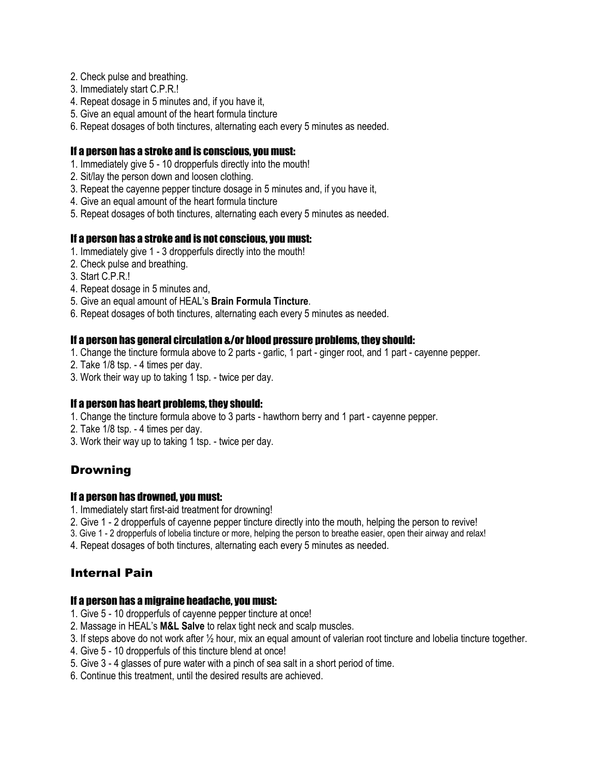- 2. Check pulse and breathing.
- 3. Immediately start C.P.R.!
- 4. Repeat dosage in 5 minutes and, if you have it,
- 5. Give an equal amount of the heart formula tincture
- 6. Repeat dosages of both tinctures, alternating each every 5 minutes as needed.

#### If a person has a stroke and is conscious, you must:

- 1. Immediately give 5 10 dropperfuls directly into the mouth!
- 2. Sit/lay the person down and loosen clothing.
- 3. Repeat the cayenne pepper tincture dosage in 5 minutes and, if you have it,
- 4. Give an equal amount of the heart formula tincture
- 5. Repeat dosages of both tinctures, alternating each every 5 minutes as needed.

#### If a person has a stroke and is not conscious, you must:

- 1. Immediately give 1 3 dropperfuls directly into the mouth!
- 2. Check pulse and breathing.
- 3. Start C.P.R.!
- 4. Repeat dosage in 5 minutes and,
- 5. Give an equal amount of HEAL's **Brain Formula Tincture**.
- 6. Repeat dosages of both tinctures, alternating each every 5 minutes as needed.

#### If a person has general circulation &/or blood pressure problems, they should:

- 1. Change the tincture formula above to 2 parts garlic, 1 part ginger root, and 1 part cayenne pepper.
- 2. Take 1/8 tsp. 4 times per day.
- 3. Work their way up to taking 1 tsp. twice per day.

#### If a person has heart problems, they should:

- 1. Change the tincture formula above to 3 parts hawthorn berry and 1 part cayenne pepper.
- 2. Take 1/8 tsp. 4 times per day.
- 3. Work their way up to taking 1 tsp. twice per day.

## Drowning

#### If a person has drowned, you must:

- 1. Immediately start first-aid treatment for drowning!
- 2. Give 1 2 dropperfuls of cayenne pepper tincture directly into the mouth, helping the person to revive!
- 3. Give 1 2 dropperfuls of lobelia tincture or more, helping the person to breathe easier, open their airway and relax!
- 4. Repeat dosages of both tinctures, alternating each every 5 minutes as needed.

## Internal Pain

#### If a person has a migraine headache, you must:

- 1. Give 5 10 dropperfuls of cayenne pepper tincture at once!
- 2. Massage in HEAL's **M&L Salve** to relax tight neck and scalp muscles.
- 3. If steps above do not work after ½ hour, mix an equal amount of valerian root tincture and lobelia tincture together.
- 4. Give 5 10 dropperfuls of this tincture blend at once!
- 5. Give 3 4 glasses of pure water with a pinch of sea salt in a short period of time.
- 6. Continue this treatment, until the desired results are achieved.